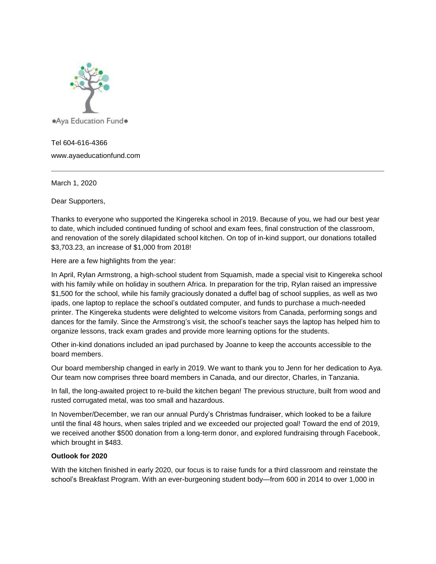

## Tel 604-616-4366

www.ayaeducationfund.com

March 1, 2020

Dear Supporters,

Thanks to everyone who supported the Kingereka school in 2019. Because of you, we had our best year to date, which included continued funding of school and exam fees, final construction of the classroom, and renovation of the sorely dilapidated school kitchen. On top of in-kind support, our donations totalled \$3,703.23, an increase of \$1,000 from 2018!

Here are a few highlights from the year:

In April, Rylan Armstrong, a high-school student from Squamish, made a special visit to Kingereka school with his family while on holiday in southern Africa. In preparation for the trip, Rylan raised an impressive \$1,500 for the school, while his family graciously donated a duffel bag of school supplies, as well as two ipads, one laptop to replace the school's outdated computer, and funds to purchase a much-needed printer. The Kingereka students were delighted to welcome visitors from Canada, performing songs and dances for the family. Since the Armstrong's visit, the school's teacher says the laptop has helped him to organize lessons, track exam grades and provide more learning options for the students.

Other in-kind donations included an ipad purchased by Joanne to keep the accounts accessible to the board members.

Our board membership changed in early in 2019. We want to thank you to Jenn for her dedication to Aya. Our team now comprises three board members in Canada, and our director, Charles, in Tanzania.

In fall, the long-awaited project to re-build the kitchen began! The previous structure, built from wood and rusted corrugated metal, was too small and hazardous.

In November/December, we ran our annual Purdy's Christmas fundraiser, which looked to be a failure until the final 48 hours, when sales tripled and we exceeded our projected goal! Toward the end of 2019, we received another \$500 donation from a long-term donor, and explored fundraising through Facebook, which brought in \$483.

## **Outlook for 2020**

With the kitchen finished in early 2020, our focus is to raise funds for a third classroom and reinstate the school's Breakfast Program. With an ever-burgeoning student body—from 600 in 2014 to over 1,000 in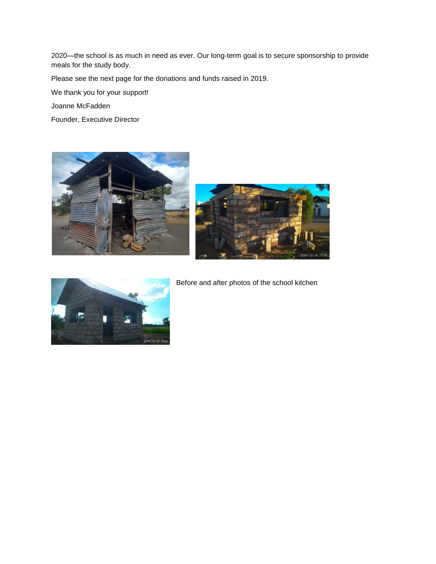2020—the school is as much in need as ever. Our long-term goal is to secure sponsorship to provide meals for the study body.

Please see the next page for the donations and funds raised in 2019.

We thank you for your support!

Joanne McFadden

Founder, Executive Director







Before and after photos of the school kitchen